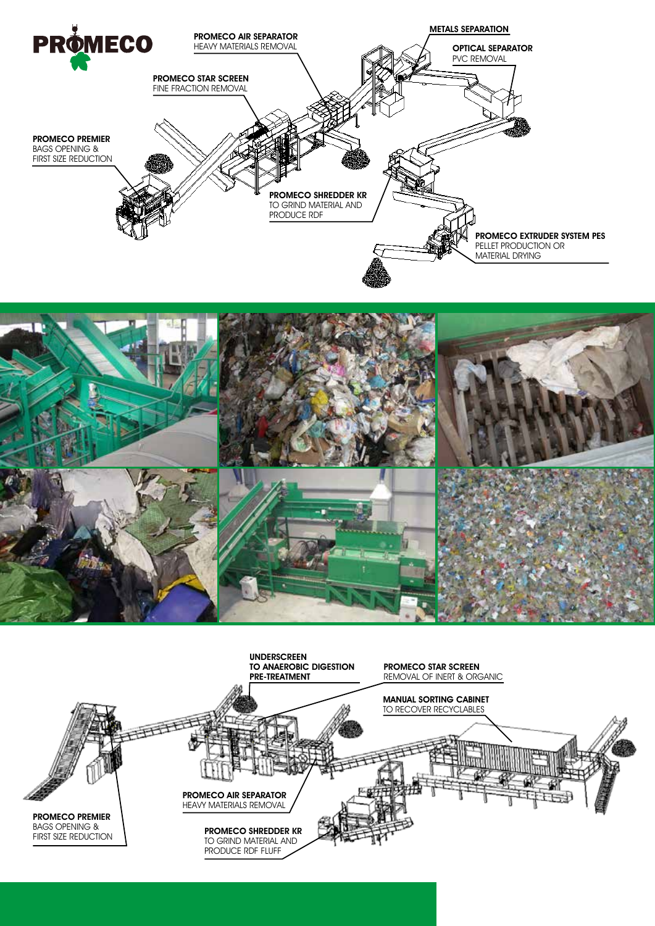